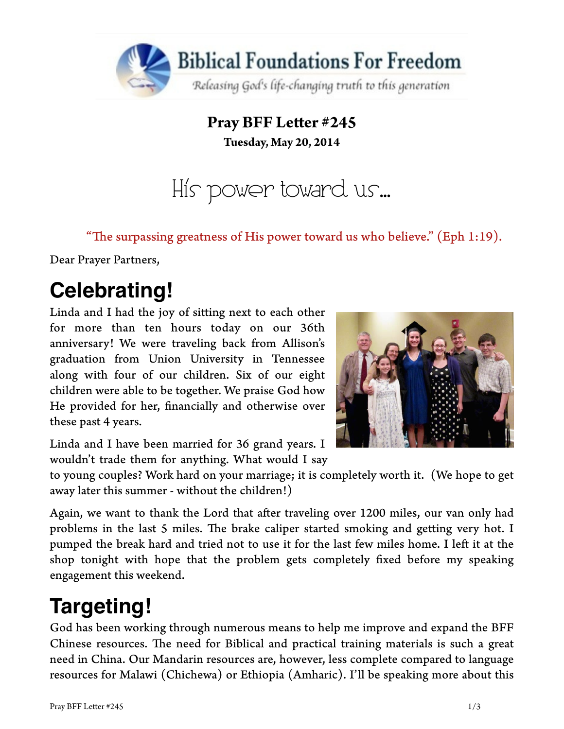

**Pray BFF Leter #245 Tuesday, May 20, 2014**

His power toward us…

"The surpassing greatness of His power toward us who believe." (Eph 1:19).

Dear Prayer Partners,

## **Celebrating!**

Linda and I had the joy of siting next to each other for more than ten hours today on our 36th anniversary! We were traveling back from Allison's graduation from Union University in Tennessee along with four of our children. Six of our eight children were able to be together. We praise God how He provided for her, fnancially and otherwise over these past 4 years.



Linda and I have been married for 36 grand years. I wouldn't trade them for anything. What would I say

to young couples? Work hard on your marriage; it is completely worth it. (We hope to get away later this summer - without the children!)

Again, we want to thank the Lord that afer traveling over 1200 miles, our van only had problems in the last 5 miles. The brake caliper started smoking and getting very hot. I pumped the break hard and tried not to use it for the last few miles home. I left it at the shop tonight with hope that the problem gets completely fxed before my speaking engagement this weekend.

# **Targeting!**

God has been working through numerous means to help me improve and expand the BFF Chinese resources. The need for Biblical and practical training materials is such a great need in China. Our Mandarin resources are, however, less complete compared to language resources for Malawi (Chichewa) or Ethiopia (Amharic). I'll be speaking more about this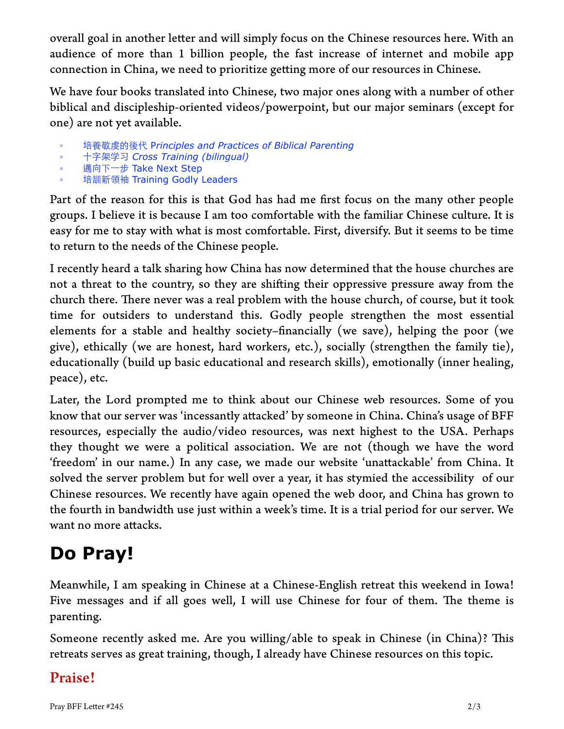overall goal in another letter and will simply focus on the Chinese resources here. With an audience of more than 1 billion people, the fast increase of internet and mobile app connection in China, we need to prioritize geting more of our resources in Chinese.

We have four books translated into Chinese, two major ones along with a number of other biblical and discipleship-oriented videos/powerpoint, but our major seminars (except for one) are not yet available.

- 培養敬虔的後代 P*rinciples and Practices of Biblical Parenting*
- **十字架学习 Cross Training (bilingual)**
- 邁向下一步 Take Next Step
- 培訓新領袖 Training Godly Leaders

Part of the reason for this is that God has had me frst focus on the many other people groups. I believe it is because I am too comfortable with the familiar Chinese culture. It is easy for me to stay with what is most comfortable. First, diversify. But it seems to be time to return to the needs of the Chinese people.

I recently heard a talk sharing how China has now determined that the house churches are not a threat to the country, so they are shifing their oppressive pressure away from the church there. There never was a real problem with the house church, of course, but it took time for outsiders to understand this. Godly people strengthen the most essential elements for a stable and healthy society–fnancially (we save), helping the poor (we give), ethically (we are honest, hard workers, etc.), socially (strengthen the family tie), educationally (build up basic educational and research skills), emotionally (inner healing, peace), etc.

Later, the Lord prompted me to think about our Chinese web resources. Some of you know that our server was 'incessantly atacked' by someone in China. China's usage of BFF resources, especially the audio/video resources, was next highest to the USA. Perhaps they thought we were a political association. We are not (though we have the word 'freedom' in our name.) In any case, we made our website 'unatackable' from China. It solved the server problem but for well over a year, it has stymied the accessibility of our Chinese resources. We recently have again opened the web door, and China has grown to the fourth in bandwidth use just within a week's time. It is a trial period for our server. We want no more attacks.

### **Do Pray!**

Meanwhile, I am speaking in Chinese at a Chinese-English retreat this weekend in Iowa! Five messages and if all goes well, I will use Chinese for four of them. The theme is parenting.

Someone recently asked me. Are you willing/able to speak in Chinese (in China)? This retreats serves as great training, though, I already have Chinese resources on this topic.

#### Praise!